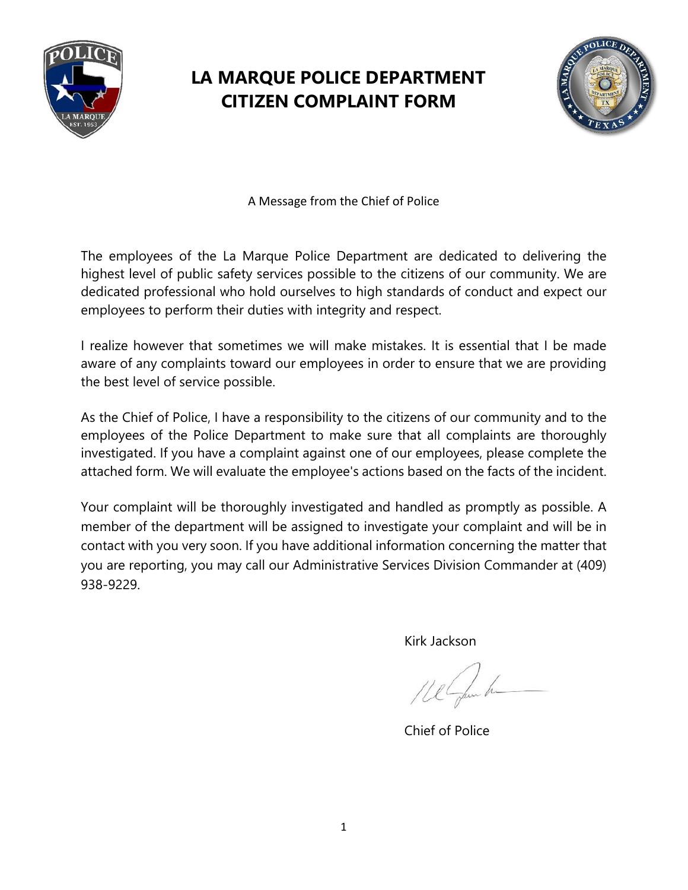

## **LA MARQUE POLICE DEPARTMENT CITIZEN COMPLAINT FORM**



A Message from the Chief of Police

The employees of the La Marque Police Department are dedicated to delivering the highest level of public safety services possible to the citizens of our community. We are dedicated professional who hold ourselves to high standards of conduct and expect our employees to perform their duties with integrity and respect.

I realize however that sometimes we will make mistakes. It is essential that I be made aware of any complaints toward our employees in order to ensure that we are providing the best level of service possible.

As the Chief of Police, I have a responsibility to the citizens of our community and to the employees of the Police Department to make sure that all complaints are thoroughly investigated. If you have a complaint against one of our employees, please complete the attached form. We will evaluate the employee's actions based on the facts of the incident.

Your complaint will be thoroughly investigated and handled as promptly as possible. A member of the department will be assigned to investigate your complaint and will be in contact with you very soon. If you have additional information concerning the matter that you are reporting, you may call our Administrative Services Division Commander at (409) 938-9229.

Kirk Jackson

Chief of Police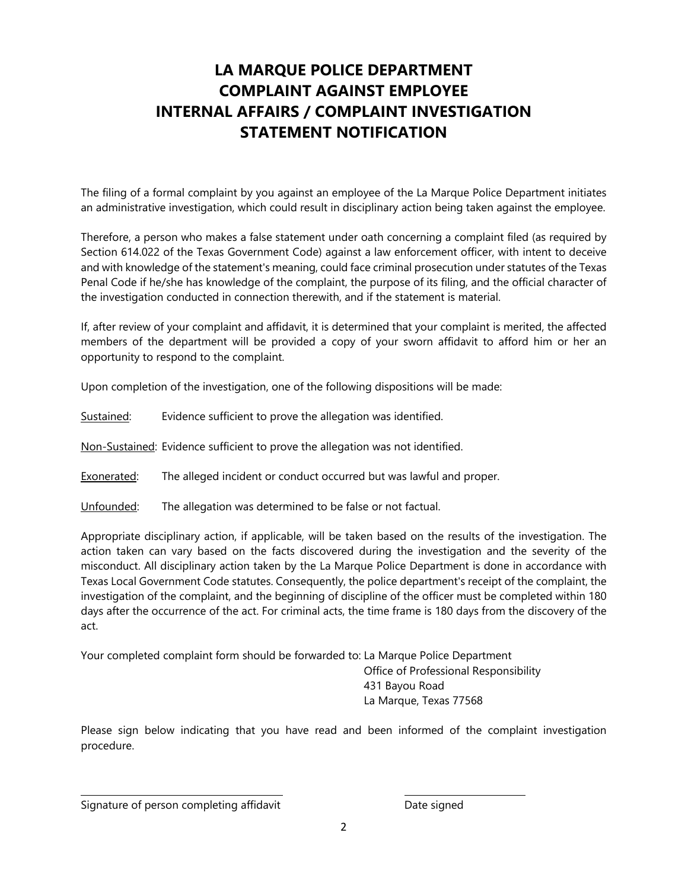## **LA MARQUE POLICE DEPARTMENT COMPLAINT AGAINST EMPLOYEE INTERNAL AFFAIRS / COMPLAINT INVESTIGATION STATEMENT NOTIFICATION**

The filing of a formal complaint by you against an employee of the La Marque Police Department initiates an administrative investigation, which could result in disciplinary action being taken against the employee.

Therefore, a person who makes a false statement under oath concerning a complaint filed (as required by Section 614.022 of the Texas Government Code) against a law enforcement officer, with intent to deceive and with knowledge of the statement's meaning, could face criminal prosecution under statutes of the Texas Penal Code if he/she has knowledge of the complaint, the purpose of its filing, and the official character of the investigation conducted in connection therewith, and if the statement is material.

If, after review of your complaint and affidavit, it is determined that your complaint is merited, the affected members of the department will be provided a copy of your sworn affidavit to afford him or her an opportunity to respond to the complaint.

Upon completion of the investigation, one of the following dispositions will be made:

Sustained: Evidence sufficient to prove the allegation was identified.

Non-Sustained: Evidence sufficient to prove the allegation was not identified.

Exonerated: The alleged incident or conduct occurred but was lawful and proper.

Unfounded: The allegation was determined to be false or not factual.

Appropriate disciplinary action, if applicable, will be taken based on the results of the investigation. The action taken can vary based on the facts discovered during the investigation and the severity of the misconduct. All disciplinary action taken by the La Marque Police Department is done in accordance with Texas Local Government Code statutes. Consequently, the police department's receipt of the complaint, the investigation of the complaint, and the beginning of discipline of the officer must be completed within 180 days after the occurrence of the act. For criminal acts, the time frame is 180 days from the discovery of the act.

Your completed complaint form should be forwarded to: La Marque Police Department

 Office of Professional Responsibility 431 Bayou Road La Marque, Texas 77568

Please sign below indicating that you have read and been informed of the complaint investigation procedure.

Signature of person completing affidavit **Date signed**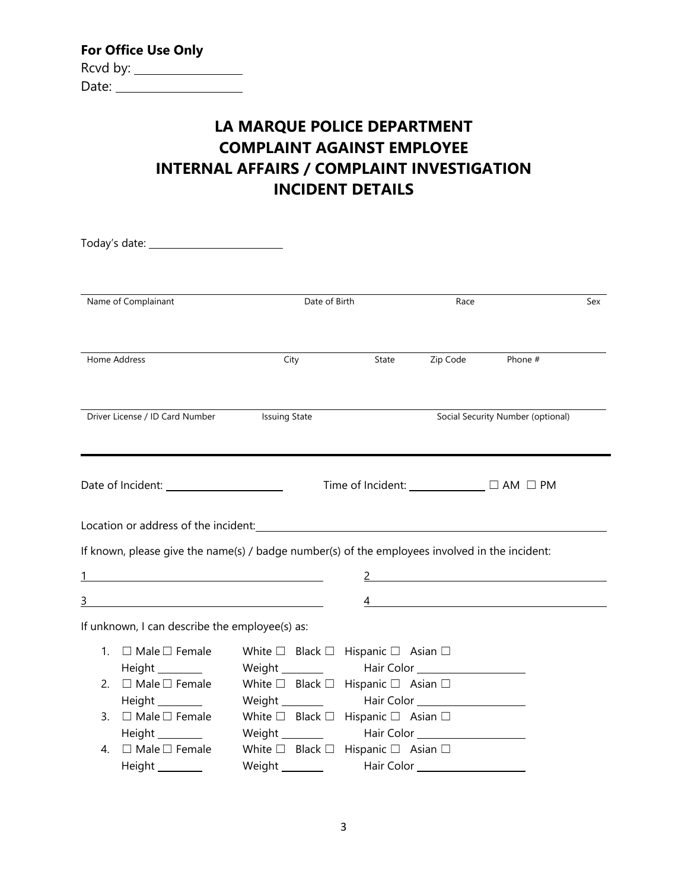| <b>For Office Use Only</b> |
|----------------------------|
| Rcvd by:                   |
| Date:                      |

## **LA MARQUE POLICE DEPARTMENT COMPLAINT AGAINST EMPLOYEE INTERNAL AFFAIRS / COMPLAINT INVESTIGATION INCIDENT DETAILS**

| Name of Complainant |                                                                                                |                                                                    | Date of Birth |                                                                                                                                                                                                                                      |                                           | Sex |
|---------------------|------------------------------------------------------------------------------------------------|--------------------------------------------------------------------|---------------|--------------------------------------------------------------------------------------------------------------------------------------------------------------------------------------------------------------------------------------|-------------------------------------------|-----|
|                     |                                                                                                |                                                                    |               |                                                                                                                                                                                                                                      |                                           |     |
|                     | Home Address                                                                                   | City                                                               | State         | Zip Code                                                                                                                                                                                                                             | Phone #                                   |     |
|                     |                                                                                                |                                                                    |               |                                                                                                                                                                                                                                      |                                           |     |
|                     | Driver License / ID Card Number Issuing State                                                  |                                                                    |               |                                                                                                                                                                                                                                      | Social Security Number (optional)         |     |
|                     |                                                                                                |                                                                    |               |                                                                                                                                                                                                                                      |                                           |     |
|                     |                                                                                                |                                                                    |               |                                                                                                                                                                                                                                      | Time of Incident: _____________ □ AM □ PM |     |
|                     |                                                                                                |                                                                    |               |                                                                                                                                                                                                                                      |                                           |     |
|                     | If known, please give the name(s) / badge number(s) of the employees involved in the incident: |                                                                    |               |                                                                                                                                                                                                                                      |                                           |     |
| 1                   |                                                                                                |                                                                    |               |                                                                                                                                                                                                                                      | 2 $\overline{\phantom{a}}$                |     |
|                     | $\overline{\mathbf{3}}$                                                                        |                                                                    |               |                                                                                                                                                                                                                                      | $\overline{4}$                            |     |
|                     | If unknown, I can describe the employee(s) as:                                                 |                                                                    |               |                                                                                                                                                                                                                                      |                                           |     |
|                     | 1. $\Box$ Male $\Box$ Female                                                                   | White $\square$ Black $\square$ Hispanic $\square$ Asian $\square$ |               |                                                                                                                                                                                                                                      |                                           |     |
|                     | Height _________                                                                               | Weight _________                                                   |               | Hair Color <u>New York New York New York New York New York New York New York New York New York New York New York New York New York New York New York New York New York New York New York New York New York New York New York New</u> |                                           |     |
|                     | 2. $\Box$ Male $\Box$ Female                                                                   | White $\square$ Black $\square$ Hispanic $\square$ Asian $\square$ |               |                                                                                                                                                                                                                                      |                                           |     |
|                     |                                                                                                | Weight _________                                                   |               |                                                                                                                                                                                                                                      |                                           |     |
|                     | 3. □ Male □ Female                                                                             | White $\square$ Black $\square$ Hispanic $\square$ Asian $\square$ |               |                                                                                                                                                                                                                                      |                                           |     |
|                     | Height _________                                                                               | Weight ________                                                    |               |                                                                                                                                                                                                                                      |                                           |     |
|                     | 4. $\Box$ Male $\Box$ Female                                                                   | White $\square$ Black $\square$ Hispanic $\square$ Asian $\square$ |               |                                                                                                                                                                                                                                      |                                           |     |
|                     | Height _________                                                                               | Weight ________                                                    |               | Hair Color _____________________                                                                                                                                                                                                     |                                           |     |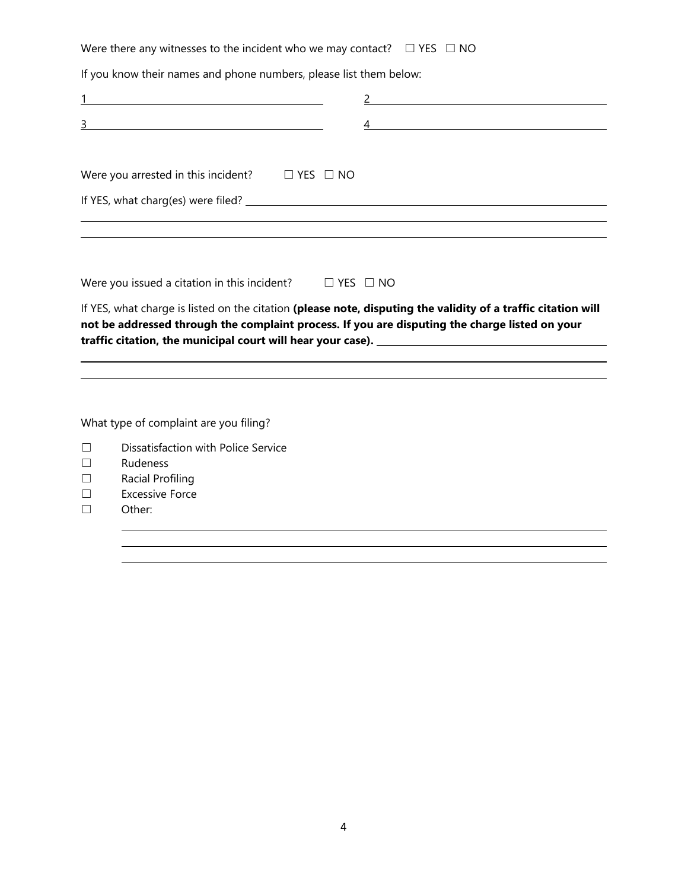Were there any witnesses to the incident who we may contact?  $□$  YES  $□$  NO

If you know their names and phone numbers, please list them below:

| <u> 1990 - Johann Harry Barn, mars and de Branch and de Branch and de Branch and de Branch and de Branch and de B</u> |  |  | <u> 1980 - Jan Stein Stein Stein Stein Stein Stein Stein Stein Stein Stein Stein Stein Stein Stein Stein Stein S</u> |  |
|-----------------------------------------------------------------------------------------------------------------------|--|--|----------------------------------------------------------------------------------------------------------------------|--|
| 3                                                                                                                     |  |  |                                                                                                                      |  |
|                                                                                                                       |  |  |                                                                                                                      |  |
| Were you arrested in this incident? $\square$ YES $\square$ NO                                                        |  |  |                                                                                                                      |  |
|                                                                                                                       |  |  |                                                                                                                      |  |
|                                                                                                                       |  |  |                                                                                                                      |  |
|                                                                                                                       |  |  |                                                                                                                      |  |

Were you issued a citation in this incident?  $□$  YES  $□$  NO

If YES, what charge is listed on the citation **(please note, disputing the validity of a traffic citation will not be addressed through the complaint process. If you are disputing the charge listed on your traffic citation, the municipal court will hear your case).** 

What type of complaint are you filing?

- ☐ Dissatisfaction with Police Service
- ☐ Rudeness
- ☐ Racial Profiling
- ☐ Excessive Force
- ☐ Other:

 $\overline{a}$